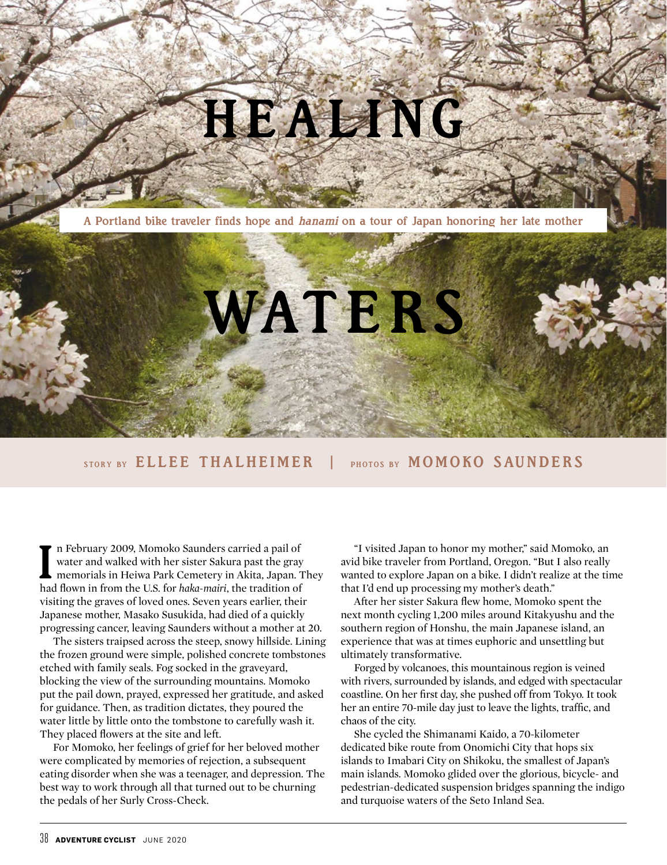## HEALING

A Portland bike traveler finds hope and *hanami* on a tour of Japan honoring her late mother



STORY BY ELLEE THALHEIMER | PHOTOS BY MOMOKO SAUNDERS

In February 2009, Momoko Saunders carried a pail of water and walked with her sister Sakura past the gray memorials in Heiwa Park Cemetery in Akita, Japan. Thad flown in from the U.S. for *haka-mairi*, the tradition of n February 2009, Momoko Saunders carried a pail of water and walked with her sister Sakura past the gray memorials in Heiwa Park Cemetery in Akita, Japan. They visiting the graves of loved ones. Seven years earlier, their Japanese mother, Masako Susukida, had died of a quickly progressing cancer, leaving Saunders without a mother at 20.

The sisters traipsed across the steep, snowy hillside. Lining the frozen ground were simple, polished concrete tombstones etched with family seals. Fog socked in the graveyard, blocking the view of the surrounding mountains. Momoko put the pail down, prayed, expressed her gratitude, and asked for guidance. Then, as tradition dictates, they poured the water little by little onto the tombstone to carefully wash it. They placed flowers at the site and left.

For Momoko, her feelings of grief for her beloved mother were complicated by memories of rejection, a subsequent eating disorder when she was a teenager, and depression. The best way to work through all that turned out to be churning the pedals of her Surly Cross-Check.

"I visited Japan to honor my mother," said Momoko, an avid bike traveler from Portland, Oregon. "But I also really wanted to explore Japan on a bike. I didn't realize at the time that I'd end up processing my mother's death."

After her sister Sakura flew home, Momoko spent the next month cycling 1,200 miles around Kitakyushu and the southern region of Honshu, the main Japanese island, an experience that was at times euphoric and unsettling but ultimately transformative.

Forged by volcanoes, this mountainous region is veined with rivers, surrounded by islands, and edged with spectacular coastline. On her first day, she pushed off from Tokyo. It took her an entire 70-mile day just to leave the lights, traffic, and chaos of the city.

She cycled the Shimanami Kaido, a 70-kilometer dedicated bike route from Onomichi City that hops six islands to Imabari City on Shikoku, the smallest of Japan's main islands. Momoko glided over the glorious, bicycle- and pedestrian-dedicated suspension bridges spanning the indigo and turquoise waters of the Seto Inland Sea.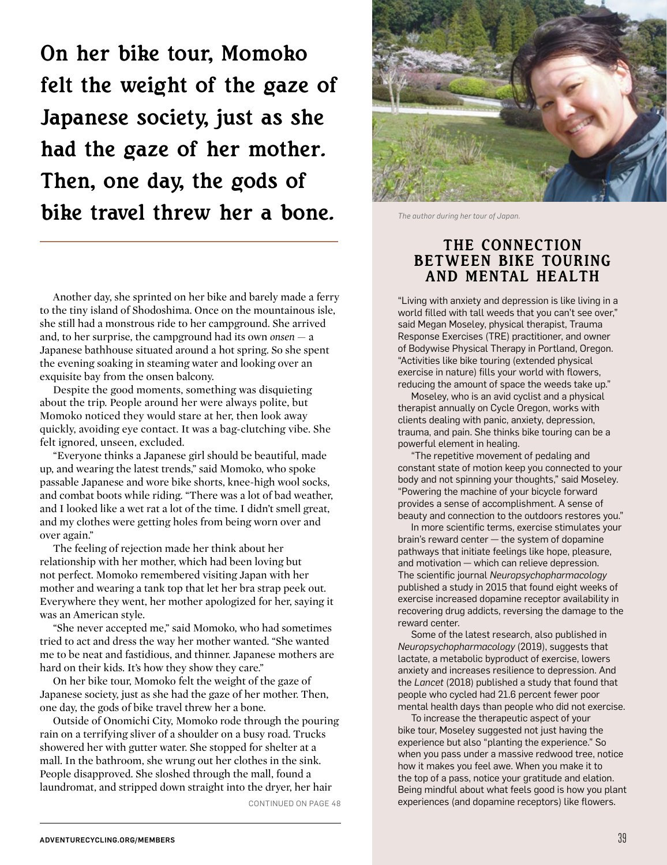On her bike tour, Momoko felt the weight of the gaze of Japanese society, just as she had the gaze of her mother. Then, one day, the gods of bike travel threw her a bone.

Another day, she sprinted on her bike and barely made a ferry to the tiny island of Shodoshima. Once on the mountainous isle, she still had a monstrous ride to her campground. She arrived and, to her surprise, the campground had its own *onsen* — a Japanese bathhouse situated around a hot spring. So she spent the evening soaking in steaming water and looking over an exquisite bay from the onsen balcony.

Despite the good moments, something was disquieting about the trip. People around her were always polite, but Momoko noticed they would stare at her, then look away quickly, avoiding eye contact. It was a bag-clutching vibe. She felt ignored, unseen, excluded.

"Everyone thinks a Japanese girl should be beautiful, made up, and wearing the latest trends," said Momoko, who spoke passable Japanese and wore bike shorts, knee-high wool socks, and combat boots while riding. "There was a lot of bad weather, and I looked like a wet rat a lot of the time. I didn't smell great, and my clothes were getting holes from being worn over and over again."

The feeling of rejection made her think about her relationship with her mother, which had been loving but not perfect. Momoko remembered visiting Japan with her mother and wearing a tank top that let her bra strap peek out. Everywhere they went, her mother apologized for her, saying it was an American style.

"She never accepted me," said Momoko, who had sometimes tried to act and dress the way her mother wanted. "She wanted me to be neat and fastidious, and thinner. Japanese mothers are hard on their kids. It's how they show they care."

On her bike tour, Momoko felt the weight of the gaze of Japanese society, just as she had the gaze of her mother. Then, one day, the gods of bike travel threw her a bone.

Outside of Onomichi City, Momoko rode through the pouring rain on a terrifying sliver of a shoulder on a busy road. Trucks showered her with gutter water. She stopped for shelter at a mall. In the bathroom, she wrung out her clothes in the sink. People disapproved. She sloshed through the mall, found a laundromat, and stripped down straight into the dryer, her hair



*The author during her tour of Japan.*

## THE CONNECTION BETWEEN BIKE TOURING AND MENTAL HEALTH

"Living with anxiety and depression is like living in a world filled with tall weeds that you can't see over," said Megan Moseley, physical therapist, Trauma Response Exercises (TRE) practitioner, and owner of Bodywise Physical Therapy in Portland, Oregon. "Activities like bike touring (extended physical exercise in nature) fills your world with flowers, reducing the amount of space the weeds take up."

Moseley, who is an avid cyclist and a physical therapist annually on Cycle Oregon, works with clients dealing with panic, anxiety, depression, trauma, and pain. She thinks bike touring can be a powerful element in healing.

"The repetitive movement of pedaling and constant state of motion keep you connected to your body and not spinning your thoughts," said Moseley. "Powering the machine of your bicycle forward provides a sense of accomplishment. A sense of beauty and connection to the outdoors restores you."

In more scientific terms, exercise stimulates your brain's reward center — the system of dopamine pathways that initiate feelings like hope, pleasure, and motivation — which can relieve depression. The scientific journal *Neuropsychopharmacology*  published a study in 2015 that found eight weeks of exercise increased dopamine receptor availability in recovering drug addicts, reversing the damage to the reward center.

Some of the latest research, also published in *Neuropsychopharmacology* (2019), suggests that lactate, a metabolic byproduct of exercise, lowers anxiety and increases resilience to depression. And the *Lancet* (2018) published a study that found that people who cycled had 21.6 percent fewer poor mental health days than people who did not exercise.

To increase the therapeutic aspect of your bike tour, Moseley suggested not just having the experience but also "planting the experience." So when you pass under a massive redwood tree, notice how it makes you feel awe. When you make it to the top of a pass, notice your gratitude and elation. Being mindful about what feels good is how you plant CONTINUED ON PAGE 48 experiences (and dopamine receptors) like flowers.